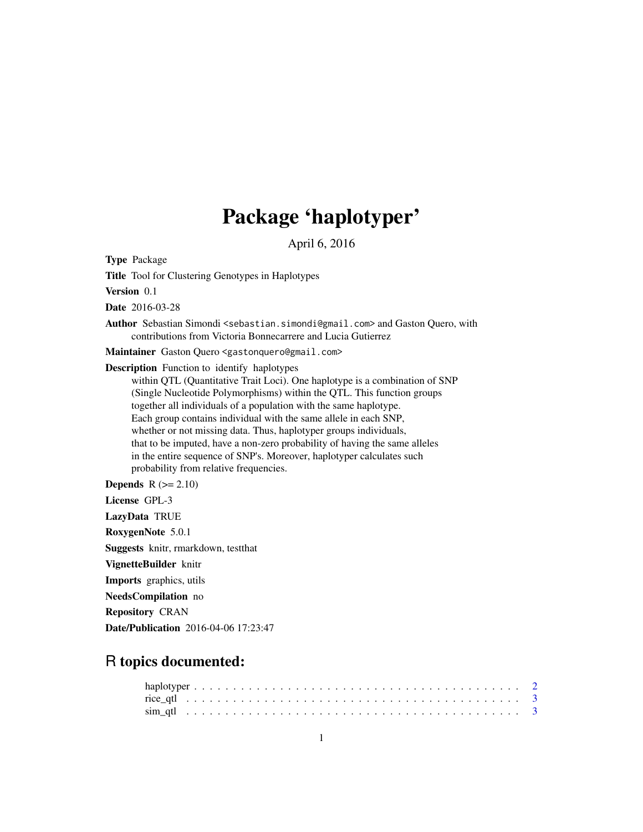## Package 'haplotyper'

April 6, 2016

Type Package

Title Tool for Clustering Genotypes in Haplotypes

Version 0.1

Date 2016-03-28

Author Sebastian Simondi <sebastian.simondi@gmail.com> and Gaston Quero, with contributions from Victoria Bonnecarrere and Lucia Gutierrez

Maintainer Gaston Quero <gastonquero@gmail.com>

Description Function to identify haplotypes

within QTL (Quantitative Trait Loci). One haplotype is a combination of SNP (Single Nucleotide Polymorphisms) within the QTL. This function groups together all individuals of a population with the same haplotype. Each group contains individual with the same allele in each SNP, whether or not missing data. Thus, haplotyper groups individuals, that to be imputed, have a non-zero probability of having the same alleles in the entire sequence of SNP's. Moreover, haplotyper calculates such probability from relative frequencies.

**Depends**  $R$  ( $>= 2.10$ ) License GPL-3 LazyData TRUE RoxygenNote 5.0.1 Suggests knitr, rmarkdown, testthat VignetteBuilder knitr Imports graphics, utils NeedsCompilation no

Repository CRAN

Date/Publication 2016-04-06 17:23:47

### R topics documented: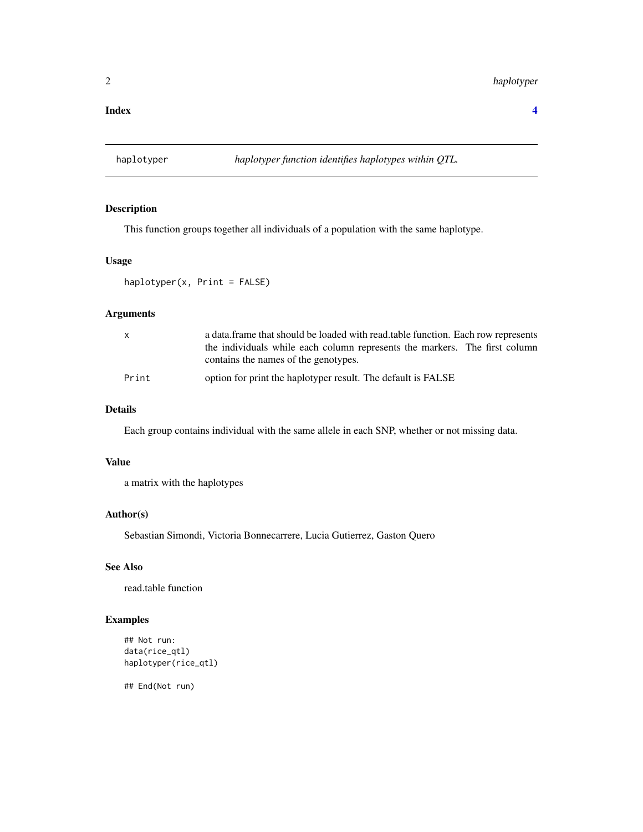#### <span id="page-1-0"></span>**Index** [4](#page-3-0)

#### Description

This function groups together all individuals of a population with the same haplotype.

#### Usage

haplotyper(x, Print = FALSE)

#### Arguments

| $\mathsf{x}$ | a data. frame that should be loaded with read. table function. Each row represents |  |  |  |  |  |  |  |  |  |  |  |  |
|--------------|------------------------------------------------------------------------------------|--|--|--|--|--|--|--|--|--|--|--|--|
|              | the individuals while each column represents the markers. The first column         |  |  |  |  |  |  |  |  |  |  |  |  |
|              | contains the names of the genotypes.                                               |  |  |  |  |  |  |  |  |  |  |  |  |
| Print        | option for print the haplotyper result. The default is FALSE                       |  |  |  |  |  |  |  |  |  |  |  |  |

#### Details

Each group contains individual with the same allele in each SNP, whether or not missing data.

#### Value

a matrix with the haplotypes

#### Author(s)

Sebastian Simondi, Victoria Bonnecarrere, Lucia Gutierrez, Gaston Quero

#### See Also

read.table function

#### Examples

```
## Not run:
data(rice_qtl)
haplotyper(rice_qtl)
```
## End(Not run)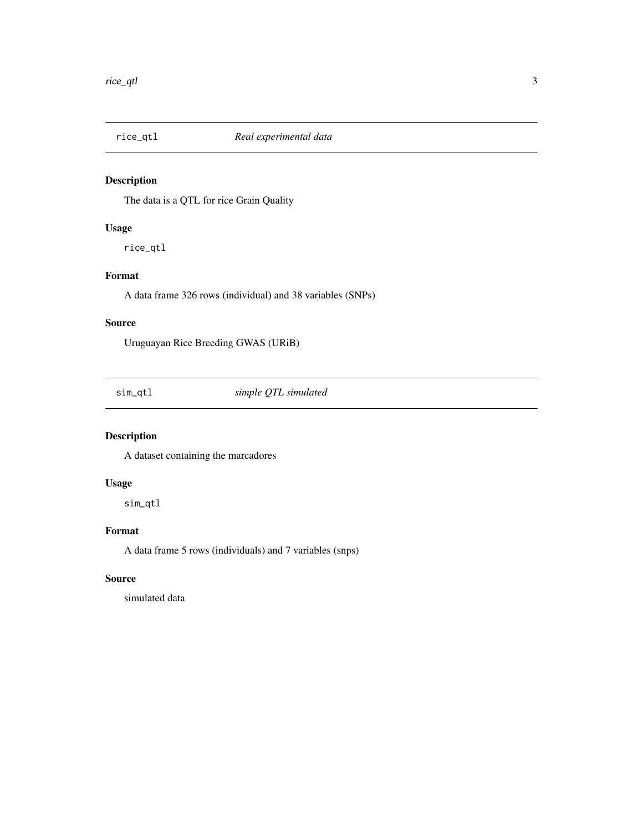<span id="page-2-0"></span>

#### Description

The data is a QTL for rice Grain Quality

#### Usage

rice\_qtl

#### Format

A data frame 326 rows (individual) and 38 variables (SNPs)

#### Source

Uruguayan Rice Breeding GWAS (URiB)

sim\_qtl *simple QTL simulated*

#### Description

A dataset containing the marcadores

#### Usage

sim\_qtl

#### Format

A data frame 5 rows (individuals) and 7 variables (snps)

#### Source

simulated data